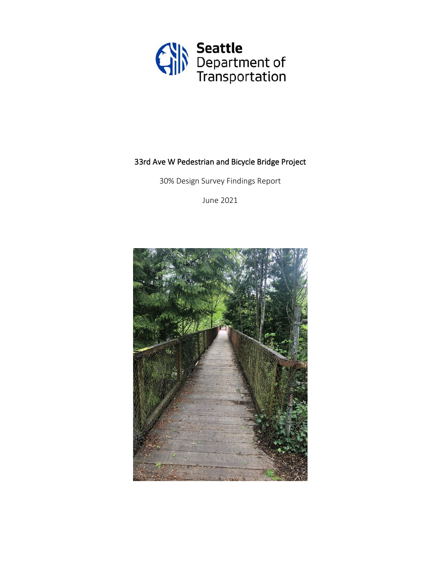

# 33rd Ave W Pedestrian and Bicycle Bridge Project

30% Design Survey Findings Report

June 2021

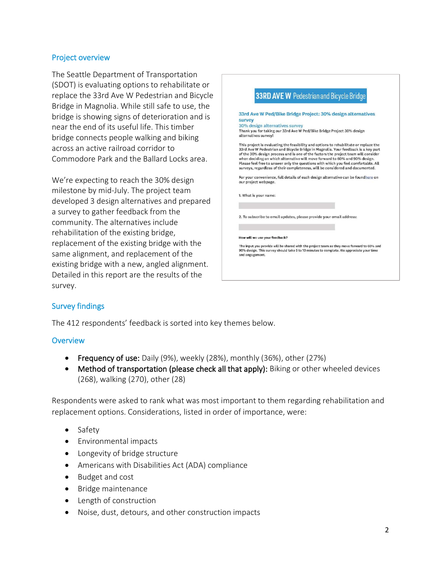#### Project overview

The Seattle Department of Transportation (SDOT) is evaluating options to rehabilitate or replace the 33rd Ave W Pedestrian and Bicycle Bridge in Magnolia. While still safe to use, the bridge is showing signs of deterioration and is near the end of its useful life. This timber bridge connects people walking and biking across an active railroad corridor to Commodore Park and the Ballard Locks area.

We're expecting to reach the 30% design milestone by mid-July. The project team developed 3 design alternatives and prepared a survey to gather feedback from the community. The alternatives include rehabilitation of the existing bridge, replacement of the existing bridge with the same alignment, and replacement of the existing bridge with a new, angled alignment. Detailed in this report are the results of the survey.



## Survey findings

The 412 respondents' feedback is sorted into key themes below.

## **Overview**

- Frequency of use: Daily (9%), weekly (28%), monthly (36%), other (27%)
- Method of transportation (please check all that apply): Biking or other wheeled devices (268), walking (270), other (28)

Respondents were asked to rank what was most important to them regarding rehabilitation and replacement options. Considerations, listed in order of importance, were:

- Safety
- Environmental impacts
- Longevity of bridge structure
- Americans with Disabilities Act (ADA) compliance
- Budget and cost
- Bridge maintenance
- Length of construction
- Noise, dust, detours, and other construction impacts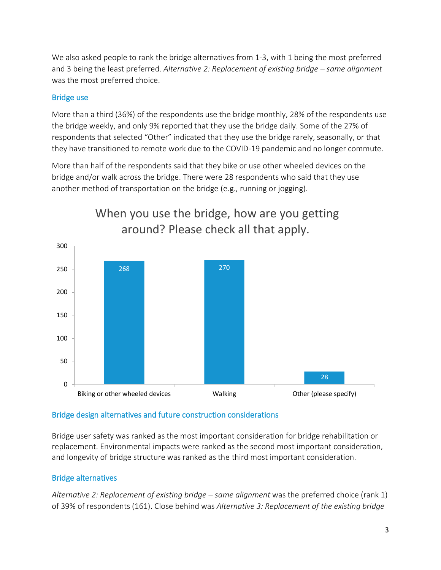We also asked people to rank the bridge alternatives from 1-3, with 1 being the most preferred and 3 being the least preferred. *Alternative 2: Replacement of existing bridge – same alignment* was the most preferred choice.

# Bridge use

More than a third (36%) of the respondents use the bridge monthly, 28% of the respondents use the bridge weekly, and only 9% reported that they use the bridge daily. Some of the 27% of respondents that selected "Other" indicated that they use the bridge rarely, seasonally, or that they have transitioned to remote work due to the COVID-19 pandemic and no longer commute.

More than half of the respondents said that they bike or use other wheeled devices on the bridge and/or walk across the bridge. There were 28 respondents who said that they use another method of transportation on the bridge (e.g., running or jogging).



# When you use the bridge, how are you getting around? Please check all that apply.

## Bridge design alternatives and future construction considerations

Bridge user safety was ranked as the most important consideration for bridge rehabilitation or replacement. Environmental impacts were ranked as the second most important consideration, and longevity of bridge structure was ranked as the third most important consideration.

## Bridge alternatives

*Alternative 2: Replacement of existing bridge – same alignment* was the preferred choice (rank 1) of 39% of respondents (161). Close behind was *Alternative 3: Replacement of the existing bridge*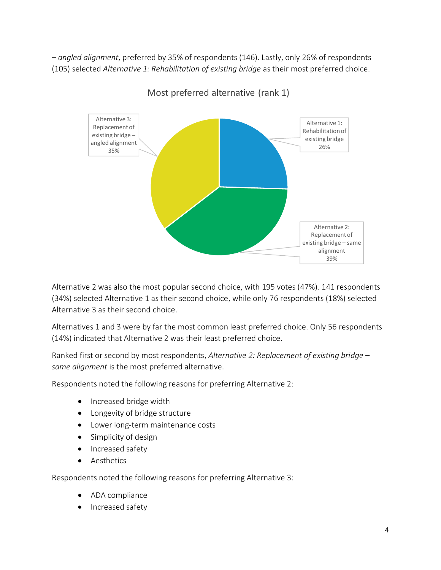*– angled alignment*, preferred by 35% of respondents (146). Lastly, only 26% of respondents (105) selected *Alternative 1: Rehabilitation of existing bridge* as their most preferred choice.



Most preferred alternative (rank 1)

Alternative 2 was also the most popular second choice, with 195 votes (47%). 141 respondents (34%) selected Alternative 1 as their second choice, while only 76 respondents (18%) selected Alternative 3 as their second choice.

Alternatives 1 and 3 were by far the most common least preferred choice. Only 56 respondents (14%) indicated that Alternative 2 was their least preferred choice.

Ranked first or second by most respondents, *Alternative 2: Replacement of existing bridge – same alignment* is the most preferred alternative.

Respondents noted the following reasons for preferring Alternative 2:

- Increased bridge width
- Longevity of bridge structure
- Lower long-term maintenance costs
- Simplicity of design
- Increased safety
- Aesthetics

Respondents noted the following reasons for preferring Alternative 3:

- ADA compliance
- Increased safety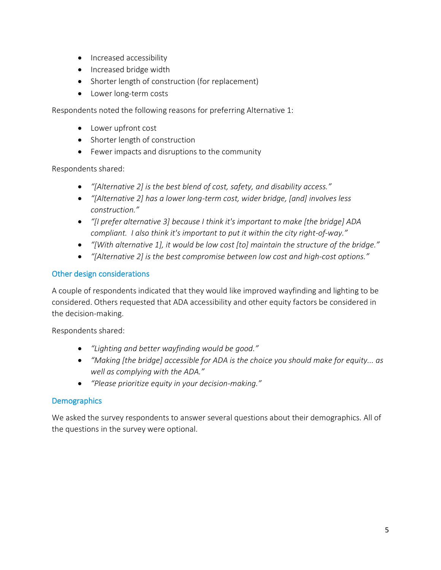- Increased accessibility
- Increased bridge width
- Shorter length of construction (for replacement)
- Lower long-term costs

Respondents noted the following reasons for preferring Alternative 1:

- Lower upfront cost
- Shorter length of construction
- Fewer impacts and disruptions to the community

Respondents shared:

- *"[Alternative 2] is the best blend of cost, safety, and disability access."*
- *"[Alternative 2] has a lower long-term cost, wider bridge, [and] involves less construction."*
- *"[I prefer alternative 3] because I think it's important to make [the bridge] ADA compliant. I also think it's important to put it within the city right-of-way."*
- *"[With alternative 1], it would be low cost [to] maintain the structure of the bridge."*
- *"[Alternative 2] is the best compromise between low cost and high-cost options."*

# Other design considerations

A couple of respondents indicated that they would like improved wayfinding and lighting to be considered. Others requested that ADA accessibility and other equity factors be considered in the decision-making.

Respondents shared:

- *"Lighting and better wayfinding would be good."*
- *"Making [the bridge] accessible for ADA is the choice you should make for equity... as well as complying with the ADA."*
- *"Please prioritize equity in your decision-making."*

# **Demographics**

We asked the survey respondents to answer several questions about their demographics. All of the questions in the survey were optional.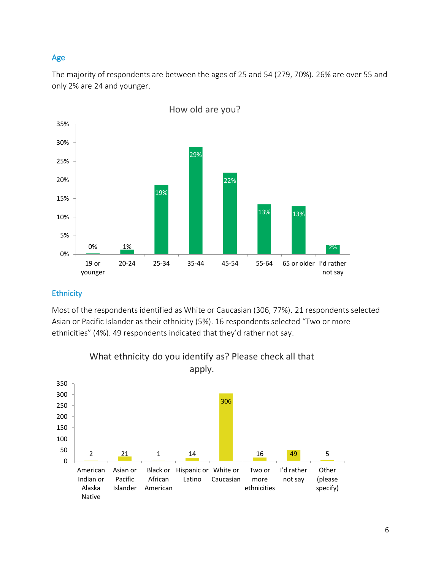## Age

The majority of respondents are between the ages of 25 and 54 (279, 70%). 26% are over 55 and only 2% are 24 and younger.



#### **Ethnicity**

Most of the respondents identified as White or Caucasian (306, 77%). 21 respondents selected Asian or Pacific Islander as their ethnicity (5%). 16 respondents selected "Two or more ethnicities" (4%). 49 respondents indicated that they'd rather not say.



What ethnicity do you identify as? Please check all that apply.